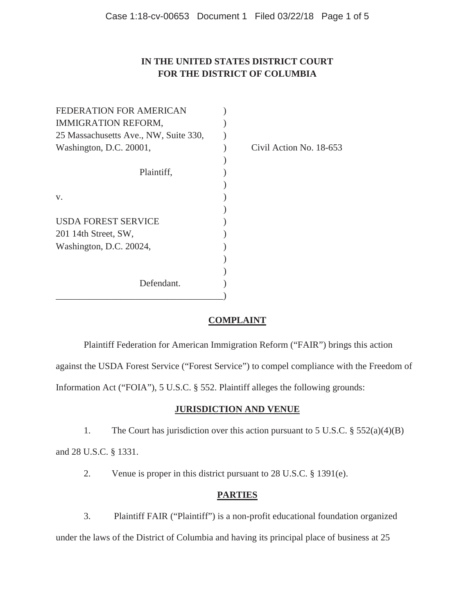## **IN THE UNITED STATES DISTRICT COURT FOR THE DISTRICT OF COLUMBIA**

| <b>FEDERATION FOR AMERICAN</b>        |                         |
|---------------------------------------|-------------------------|
| <b>IMMIGRATION REFORM,</b>            |                         |
| 25 Massachusetts Ave., NW, Suite 330, |                         |
| Washington, D.C. 20001,               | Civil Action No. 18-653 |
|                                       |                         |
| Plaintiff,                            |                         |
|                                       |                         |
| V.                                    |                         |
|                                       |                         |
| <b>USDA FOREST SERVICE</b>            |                         |
| 201 14th Street, SW,                  |                         |
| Washington, D.C. 20024,               |                         |
|                                       |                         |
|                                       |                         |
| Defendant.                            |                         |
|                                       |                         |

## **COMPLAINT**

Plaintiff Federation for American Immigration Reform ("FAIR") brings this action

against the USDA Forest Service ("Forest Service") to compel compliance with the Freedom of

Information Act ("FOIA"), 5 U.S.C. § 552. Plaintiff alleges the following grounds:

## **JURISDICTION AND VENUE**

1. The Court has jurisdiction over this action pursuant to 5 U.S.C. § 552(a)(4)(B)

and 28 U.S.C. § 1331.

2. Venue is proper in this district pursuant to 28 U.S.C. § 1391(e).

# **PARTIES**

 3. Plaintiff FAIR ("Plaintiff") is a non-profit educational foundation organized under the laws of the District of Columbia and having its principal place of business at 25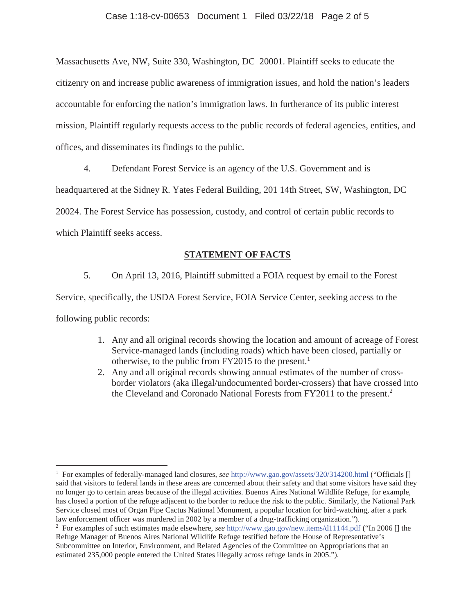#### Case 1:18-cv-00653 Document 1 Filed 03/22/18 Page 2 of 5

Massachusetts Ave, NW, Suite 330, Washington, DC 20001. Plaintiff seeks to educate the citizenry on and increase public awareness of immigration issues, and hold the nation's leaders accountable for enforcing the nation's immigration laws. In furtherance of its public interest mission, Plaintiff regularly requests access to the public records of federal agencies, entities, and offices, and disseminates its findings to the public.

4. Defendant Forest Service is an agency of the U.S. Government and is

headquartered at the Sidney R. Yates Federal Building, 201 14th Street, SW, Washington, DC

20024. The Forest Service has possession, custody, and control of certain public records to

which Plaintiff seeks access.

 $\overline{a}$ 

#### **STATEMENT OF FACTS**

 5. On April 13, 2016, Plaintiff submitted a FOIA request by email to the Forest Service, specifically, the USDA Forest Service, FOIA Service Center, seeking access to the following public records:

- 1. Any and all original records showing the location and amount of acreage of Forest Service-managed lands (including roads) which have been closed, partially or otherwise, to the public from  $FY2015$  to the present.<sup>1</sup>
- 2. Any and all original records showing annual estimates of the number of crossborder violators (aka illegal/undocumented border-crossers) that have crossed into the Cleveland and Coronado National Forests from FY2011 to the present.<sup>2</sup>

<sup>1</sup> For examples of federally-managed land closures, *see* http://www.gao.gov/assets/320/314200.html ("Officials [] said that visitors to federal lands in these areas are concerned about their safety and that some visitors have said they no longer go to certain areas because of the illegal activities. Buenos Aires National Wildlife Refuge, for example, has closed a portion of the refuge adjacent to the border to reduce the risk to the public. Similarly, the National Park Service closed most of Organ Pipe Cactus National Monument, a popular location for bird-watching, after a park law enforcement officer was murdered in 2002 by a member of a drug-trafficking organization.").

<sup>2</sup> For examples of such estimates made elsewhere, *see* http://www.gao.gov/new.items/d11144.pdf ("In 2006 [] the Refuge Manager of Buenos Aires National Wildlife Refuge testified before the House of Representative's Subcommittee on Interior, Environment, and Related Agencies of the Committee on Appropriations that an estimated 235,000 people entered the United States illegally across refuge lands in 2005.").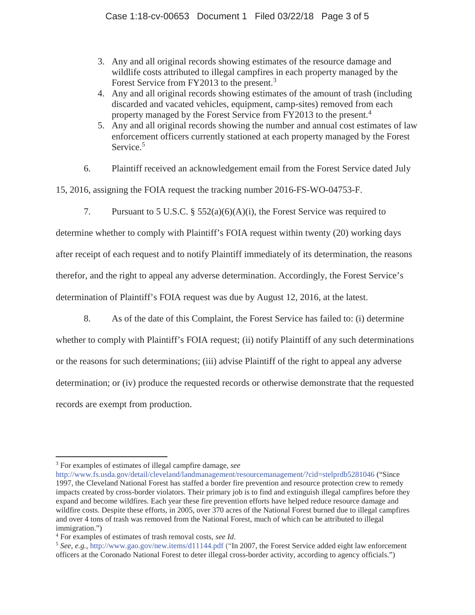- 3. Any and all original records showing estimates of the resource damage and wildlife costs attributed to illegal campfires in each property managed by the Forest Service from FY2013 to the present.<sup>3</sup>
- 4. Any and all original records showing estimates of the amount of trash (including discarded and vacated vehicles, equipment, camp-sites) removed from each property managed by the Forest Service from FY2013 to the present.<sup>4</sup>
- 5. Any and all original records showing the number and annual cost estimates of law enforcement officers currently stationed at each property managed by the Forest Service.<sup>5</sup>
- 6. Plaintiff received an acknowledgement email from the Forest Service dated July

15, 2016, assigning the FOIA request the tracking number 2016-FS-WO-04753-F.

7. Pursuant to 5 U.S.C. § 552(a)(6)(A)(i), the Forest Service was required to

determine whether to comply with Plaintiff's FOIA request within twenty (20) working days after receipt of each request and to notify Plaintiff immediately of its determination, the reasons therefor, and the right to appeal any adverse determination. Accordingly, the Forest Service's determination of Plaintiff's FOIA request was due by August 12, 2016, at the latest.

8. As of the date of this Complaint, the Forest Service has failed to: (i) determine

whether to comply with Plaintiff's FOIA request; (ii) notify Plaintiff of any such determinations or the reasons for such determinations; (iii) advise Plaintiff of the right to appeal any adverse determination; or (iv) produce the requested records or otherwise demonstrate that the requested records are exempt from production.

 $\overline{a}$ 

<sup>3</sup> For examples of estimates of illegal campfire damage, *see* 

http://www.fs.usda.gov/detail/cleveland/landmanagement/resourcemanagement/?cid=stelprdb5281046 ("Since 1997, the Cleveland National Forest has staffed a border fire prevention and resource protection crew to remedy impacts created by cross-border violators. Their primary job is to find and extinguish illegal campfires before they expand and become wildfires. Each year these fire prevention efforts have helped reduce resource damage and wildfire costs. Despite these efforts, in 2005, over 370 acres of the National Forest burned due to illegal campfires and over 4 tons of trash was removed from the National Forest, much of which can be attributed to illegal immigration.")

<sup>&</sup>lt;sup>4</sup> For examples of estimates of trash removal costs, see Id.

<sup>&</sup>lt;sup>5</sup> See, e.g., http://www.gao.gov/new.items/d11144.pdf ("In 2007, the Forest Service added eight law enforcement officers at the Coronado National Forest to deter illegal cross-border activity, according to agency officials.")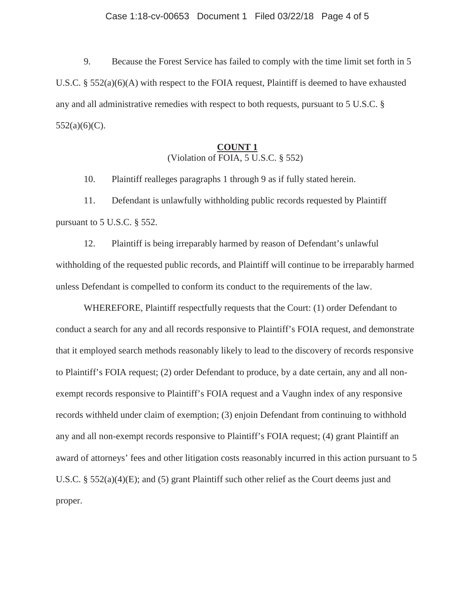9. Because the Forest Service has failed to comply with the time limit set forth in 5 U.S.C. § 552(a)(6)(A) with respect to the FOIA request, Plaintiff is deemed to have exhausted any and all administrative remedies with respect to both requests, pursuant to 5 U.S.C. §  $552(a)(6)(C)$ .

### **COUNT 1**  (Violation of FOIA, 5 U.S.C. § 552)

10. Plaintiff realleges paragraphs 1 through 9 as if fully stated herein.

 11. Defendant is unlawfully withholding public records requested by Plaintiff pursuant to 5 U.S.C. § 552.

 12. Plaintiff is being irreparably harmed by reason of Defendant's unlawful withholding of the requested public records, and Plaintiff will continue to be irreparably harmed unless Defendant is compelled to conform its conduct to the requirements of the law.

 WHEREFORE, Plaintiff respectfully requests that the Court: (1) order Defendant to conduct a search for any and all records responsive to Plaintiff's FOIA request, and demonstrate that it employed search methods reasonably likely to lead to the discovery of records responsive to Plaintiff's FOIA request; (2) order Defendant to produce, by a date certain, any and all nonexempt records responsive to Plaintiff's FOIA request and a Vaughn index of any responsive records withheld under claim of exemption; (3) enjoin Defendant from continuing to withhold any and all non-exempt records responsive to Plaintiff's FOIA request; (4) grant Plaintiff an award of attorneys' fees and other litigation costs reasonably incurred in this action pursuant to 5 U.S.C. § 552(a)(4)(E); and (5) grant Plaintiff such other relief as the Court deems just and proper.